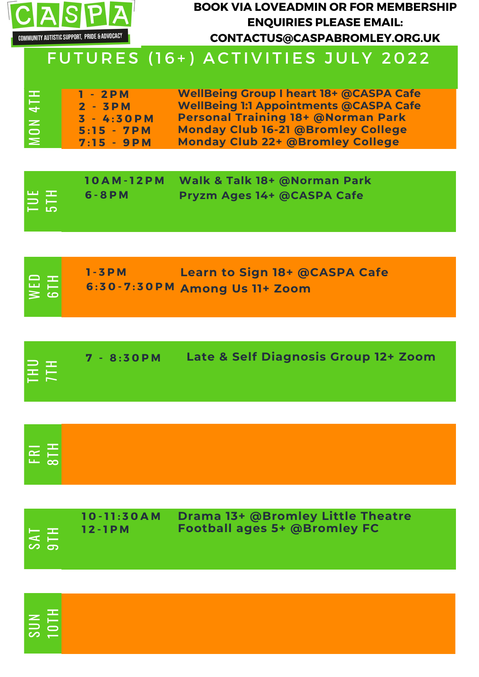

### **BOOK VIA LOVEADMIN OR FOR MEMBERSHIP ENQUIRIES PLEASE EMAIL: CONTACTUS@CASPABROMLEY.ORG.UK**

## FUTURES (16+) ACTIVITIES JULY 2022

| 1 III 1                | $1 - 2PM$     | <b>WellBeing Group I heart 18+ @CASPA Cafe</b> |
|------------------------|---------------|------------------------------------------------|
| $\overline{+}$         | $2 - 3PM$     | <b>WellBeing 1:1 Appointments @CASPA Cafe</b>  |
|                        | $3 - 4:30$ PM | <b>Personal Training 18+ @Norman Park</b>      |
| $\mathbf{z}$<br>$\Box$ | $5:15 - 7PM$  | <b>Monday Club 16-21 @Bromley College</b>      |
| ⋝                      | $7:15 - 9PM$  | <b>Monday Club 22+ @Bromley College</b>        |

| EE <sub>I</sub> | 10AM-12PM<br>$6 - 8 P M$ | Walk & Talk 18+ @Norman Park<br>Pryzm Ages 14+ @CASPA Cafe |
|-----------------|--------------------------|------------------------------------------------------------|
|                 |                          |                                                            |

|            | $1 - 3 P M$ | Learn to Sign 18+ @CASPA Cafe  |
|------------|-------------|--------------------------------|
| NED<br>GTH |             | 6:30-7:30 PM Among Us 11+ Zoom |

| EE <sub>1</sub> | 7 - 8:30 PM | Late & Self Diagnosis Group 12+ Zoom |
|-----------------|-------------|--------------------------------------|
|                 |             |                                      |

| $\boxed{\overline{EB}}$ |  |  |
|-------------------------|--|--|
|                         |  |  |
|                         |  |  |

| $10 - 11:30AM$<br>12-1PM<br>100 E S<br>$\sim$ $\sim$<br>  ဟ ငာ | Drama 13+ @Bromley Little Theatre<br><b>Football ages 5+ @Bromley FC</b> |  |
|----------------------------------------------------------------|--------------------------------------------------------------------------|--|
|----------------------------------------------------------------|--------------------------------------------------------------------------|--|

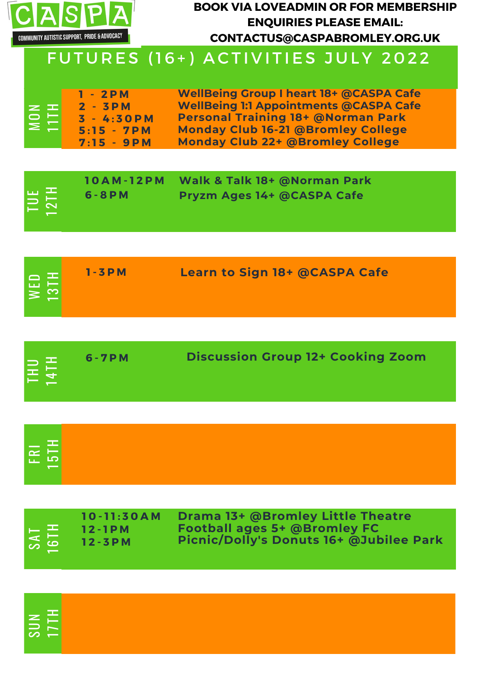

### **BOOK VIA LOVEADMIN OR FOR MEMBERSHIP ENQUIRIES PLEASE EMAIL: CONTACTUS@CASPABROMLEY.ORG.UK**

# FUTURES (16+) ACTIVITIES JULY 2022

| 10AM-12PM Walk & Talk 18+ @Norman Park<br><b>TUE</b><br>2TH<br>$6 - 8 P M$<br>Pryzm Ages 14+ @CASPA Cafe |  |
|----------------------------------------------------------------------------------------------------------|--|
|----------------------------------------------------------------------------------------------------------|--|

| <b>Learn to Sign 18+ @CASPA Cafe</b><br>$1 - 3 P M$<br>$ \Xi \Xi $ |
|--------------------------------------------------------------------|
|--------------------------------------------------------------------|

| HIPI | $6 - 7 P M$ | <b>Discussion Group 12+ Cooking Zoom</b> |
|------|-------------|------------------------------------------|
|      |             |                                          |

| FRI<br>15TH |  |  |  |
|-------------|--|--|--|
|             |  |  |  |
|             |  |  |  |

|  | TAS<br>6TH | $10 - 11:30AM$<br>$12 - 1$ PM<br>$12 - 3 P M$ | <b>Drama 13+ @Bromley Little Theatre</b><br><b>Football ages 5+ @Bromley FC</b><br>Picnic/Dolly's Donuts 16+ @Jubilee Park |
|--|------------|-----------------------------------------------|----------------------------------------------------------------------------------------------------------------------------|
|--|------------|-----------------------------------------------|----------------------------------------------------------------------------------------------------------------------------|